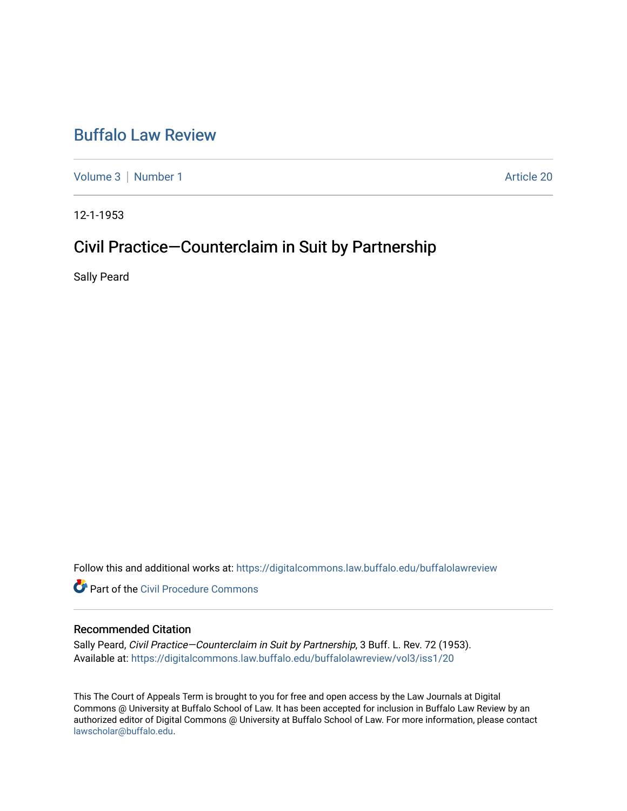# [Buffalo Law Review](https://digitalcommons.law.buffalo.edu/buffalolawreview)

[Volume 3](https://digitalcommons.law.buffalo.edu/buffalolawreview/vol3) | [Number 1](https://digitalcommons.law.buffalo.edu/buffalolawreview/vol3/iss1) Article 20

12-1-1953

# Civil Practice—Counterclaim in Suit by Partnership

Sally Peard

Follow this and additional works at: [https://digitalcommons.law.buffalo.edu/buffalolawreview](https://digitalcommons.law.buffalo.edu/buffalolawreview?utm_source=digitalcommons.law.buffalo.edu%2Fbuffalolawreview%2Fvol3%2Fiss1%2F20&utm_medium=PDF&utm_campaign=PDFCoverPages) 

**P** Part of the Civil Procedure Commons

#### Recommended Citation

Sally Peard, Civil Practice-Counterclaim in Suit by Partnership, 3 Buff. L. Rev. 72 (1953). Available at: [https://digitalcommons.law.buffalo.edu/buffalolawreview/vol3/iss1/20](https://digitalcommons.law.buffalo.edu/buffalolawreview/vol3/iss1/20?utm_source=digitalcommons.law.buffalo.edu%2Fbuffalolawreview%2Fvol3%2Fiss1%2F20&utm_medium=PDF&utm_campaign=PDFCoverPages) 

This The Court of Appeals Term is brought to you for free and open access by the Law Journals at Digital Commons @ University at Buffalo School of Law. It has been accepted for inclusion in Buffalo Law Review by an authorized editor of Digital Commons @ University at Buffalo School of Law. For more information, please contact [lawscholar@buffalo.edu](mailto:lawscholar@buffalo.edu).